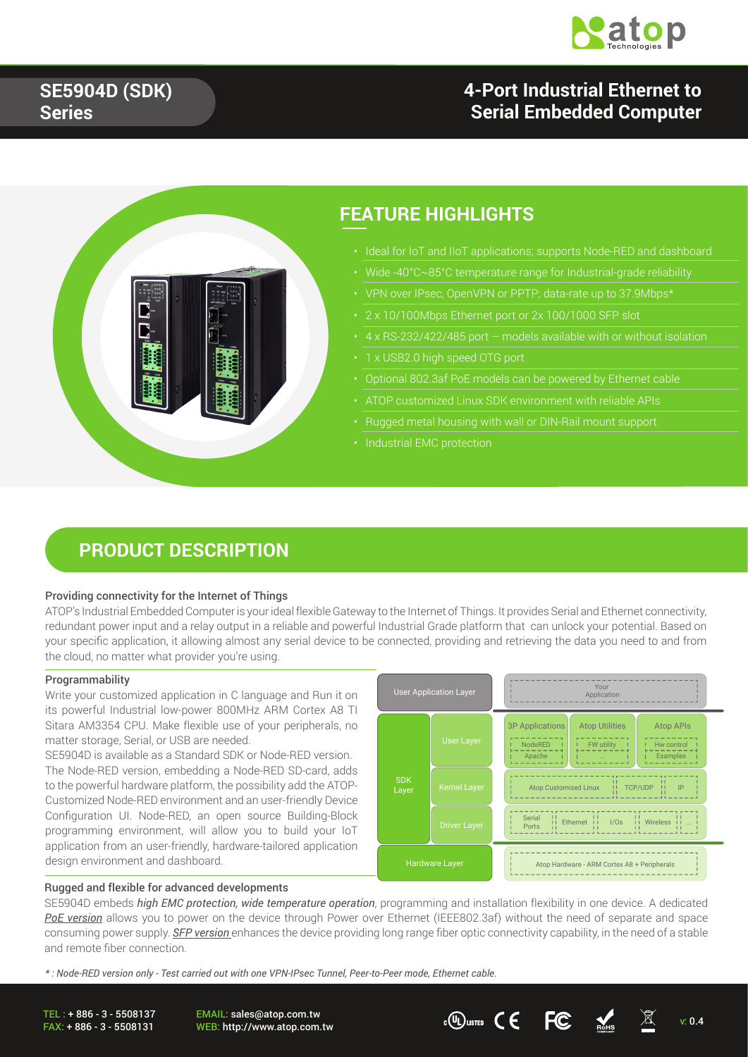

## **4-Port Industrial Ethernet to Serial Embedded Computer**



## **FEATURE HIGHLIGHTS**

- 
- 
- 
- 2 x 10/100Mbps Ethernet port or 2x 100/1000 SFP slot
- 
- 
- 
- 
- Rugged metal housing with wall or DIN-Rail mount support
- 

## **PRODUCT DESCRIPTION**

### Providing connectivity for the Internet of Things

ATOP's Industrial Embedded Computer is your ideal flexible Gateway to the Internet of Things. It provides Serial and Ethernet connectivity, redundant power input and a relay output in a reliable and powerful Industrial Grade platform that can unlock your potential. Based on your specific application, it allowing almost any serial device to be connected, providing and retrieving the data you need to and from the cloud, no matter what provider you're using.

### Programmability

Write your customized application in C language and Run it on its powerful Industrial low-power 800MHz ARM Cortex A8 TI Sitara AM3354 CPU. Make flexible use of your peripherals, no matter storage, Serial, or USB are needed.

SE5904D is available as a Standard SDK or Node-RED version. The Node-RED version, embedding a Node-RED SD-card, adds to the powerful hardware platform, the possibility add the ATOP-Customized Node-RED environment and an user-friendly Device Configuration UI. Node-RED, an open source Building-Block programming environment, will allow you to build your IoT application from an user-friendly, hardware-tailored application design environment and dashboard.



### Rugged and flexible for advanced developments

SE5904D embeds *high EMC protection, wide temperature operation*, programming and installation flexibility in one device. A dedicated *PoE version* allows you to power on the device through Power over Ethernet (IEEE802.3af) without the need of separate and space consuming power supply. *SFP version* enhances the device providing long range fiber optic connectivity capability, in the need of a stable and remote fiber connection.

*\* : Node-RED version only - Test carried out with one VPN-IPsec Tunnel, Peer-to-Peer mode, Ethernet cable.* 

TEL : + 886 - 3 - 5508137 FAX: + 886 - 3 - 5508131

EMAIL: sales@atop.com.tw EMAIL: sales@atop.com.tw<br>WEB: http://www.atop.com.tw  $\mathfrak{c}(\mathbb{Q})$ usted  $\mathsf{C} \in \mathbb{F}$   $\mathbb{C}$  with  $\mathbb{Z}$  v: 0.4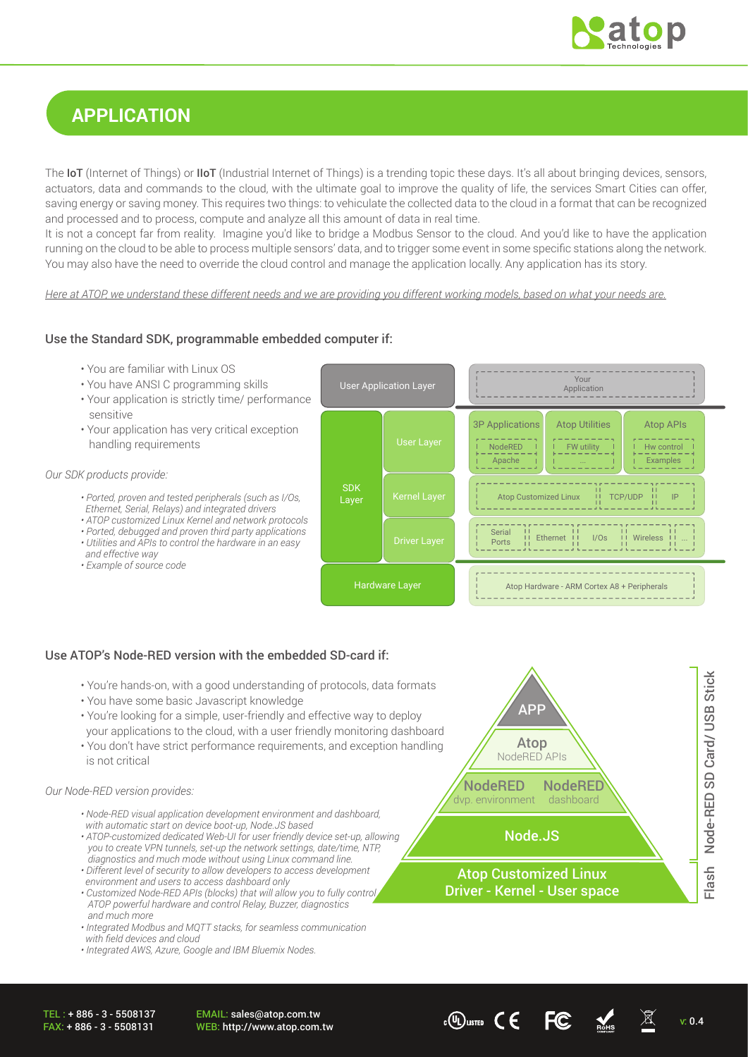

## **APPLICATION**

The IoT (Internet of Things) or IIoT (Industrial Internet of Things) is a trending topic these days. It's all about bringing devices, sensors, actuators, data and commands to the cloud, with the ultimate goal to improve the quality of life, the services Smart Cities can offer, saving energy or saving money. This requires two things: to vehiculate the collected data to the cloud in a format that can be recognized and processed and to process, compute and analyze all this amount of data in real time.

It is not a concept far from reality. Imagine you'd like to bridge a Modbus Sensor to the cloud. And you'd like to have the application running on the cloud to be able to process multiple sensors' data, and to trigger some event in some specific stations along the network. You may also have the need to override the cloud control and manage the application locally. Any application has its story.

*Here at ATOP, we understand these different needs and we are providing you different working models, based on what your needs are.*

### Use the Standard SDK, programmable embedded computer if:

- You are familiar with Linux OS
- You have ANSI C programming skills
- Your application is strictly time/ performance sensitive
- Your application has very critical exception handling requirements

### *Our SDK products provide:*

- *Ported, proven and tested peripherals (such as I/Os, Ethernet, Serial, Relays) and integrated drivers*
- *ATOP customized Linux Kernel and network protocols*
- *Ported, debugged and proven third party applications*
- *Utilities and APIs to control the hardware in an easy*
- *and effective way*
- *Example of source code*



## Use ATOP's Node-RED version with the embedded SD-card if:

- You're hands-on, with a good understanding of protocols, data formats
- You have some basic Javascript knowledge
- You're looking for a simple, user-friendly and effective way to deploy your applications to the cloud, with a user friendly monitoring dashboard
- You don't have strict performance requirements, and exception handling is not critical

#### *Our Node-RED version provides:*

- *Node-RED visual application development environment and dashboard, with automatic start on device boot-up, Node.JS based*
- *ATOP-customized dedicated Web-UI for user friendly device set-up, allowing you to create VPN tunnels, set-up the network settings, date/time, NTP, diagnostics and much mode without using Linux command line.*
- *Different level of security to allow developers to access development environment and users to access dashboard only*
- *Customized Node-RED APIs (blocks) that will allow you to fully control ATOP powerful hardware and control Relay, Buzzer, diagnostics and much more*
- *Integrated Modbus and MQTT stacks, for seamless communication with field devices and cloud*
- $\cdot$  Integrated AWS, Azure, Google and IBM Bluemix Nodes.



EMAIL: sales@atop.com.tw EMAIL: sales@atop.com.tw cOLusted C C FC  $\frac{M}{2}$  v: 0.4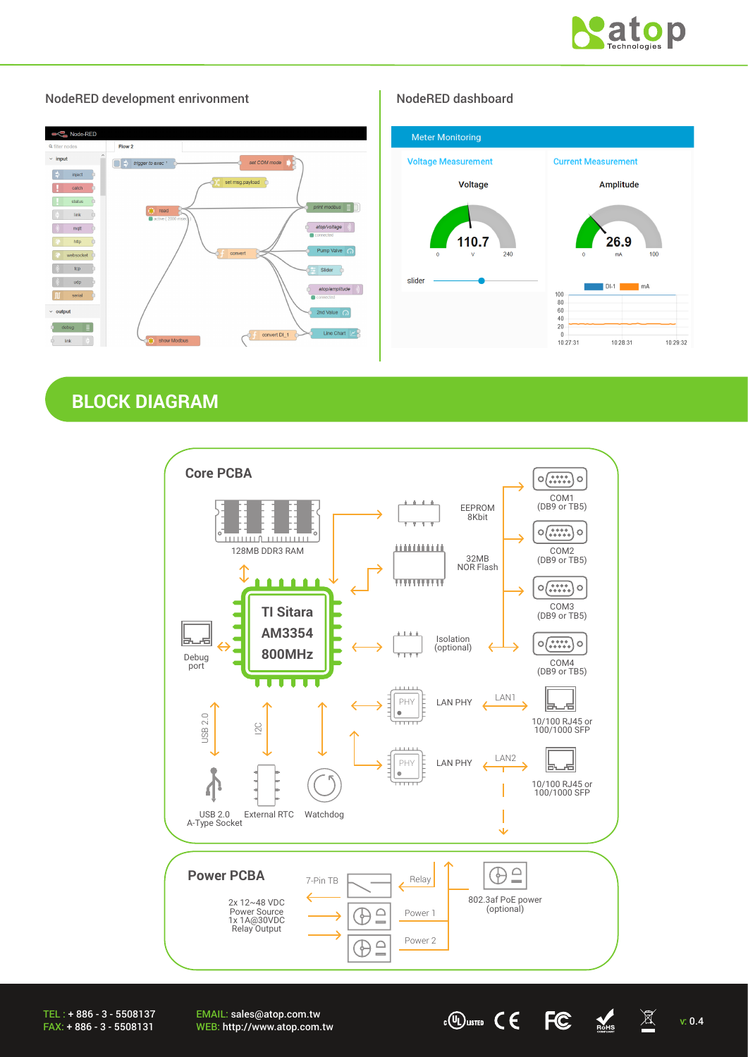



### NodeRED development enrivonment NodeRED dashboard

## **BLOCK DIAGRAM**



EMAIL: sales@atop.com.tw EMAIL: sales@atop.com.tw cO usite  $\overline{C}$   $\overline{C}$   $\overline{C}$   $\overline{M}$  v: 0.4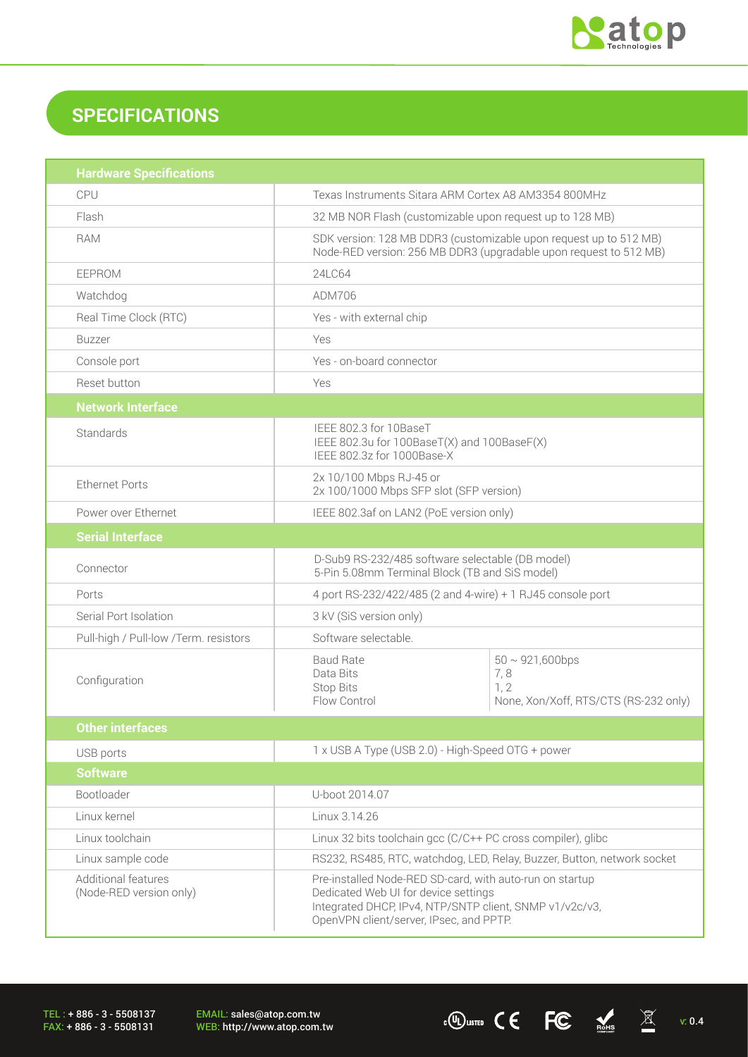

# **SPECIFICATIONS**

| <b>Hardware Specifications</b>                 |                                                                                                                                                                                                        |                                                                               |  |  |
|------------------------------------------------|--------------------------------------------------------------------------------------------------------------------------------------------------------------------------------------------------------|-------------------------------------------------------------------------------|--|--|
| CPU                                            | Texas Instruments Sitara ARM Cortex A8 AM3354 800MHz                                                                                                                                                   |                                                                               |  |  |
| Flash                                          | 32 MB NOR Flash (customizable upon request up to 128 MB)                                                                                                                                               |                                                                               |  |  |
| <b>RAM</b>                                     | SDK version: 128 MB DDR3 (customizable upon request up to 512 MB)<br>Node-RED version: 256 MB DDR3 (upgradable upon request to 512 MB)                                                                 |                                                                               |  |  |
| <b>EEPROM</b>                                  | 24LC64                                                                                                                                                                                                 |                                                                               |  |  |
| Watchdog                                       | ADM706                                                                                                                                                                                                 |                                                                               |  |  |
| Real Time Clock (RTC)                          | Yes - with external chip                                                                                                                                                                               |                                                                               |  |  |
| <b>Buzzer</b>                                  | Yes                                                                                                                                                                                                    |                                                                               |  |  |
| Console port                                   | Yes - on-board connector                                                                                                                                                                               |                                                                               |  |  |
| Reset button                                   | Yes                                                                                                                                                                                                    |                                                                               |  |  |
| <b>Network Interface</b>                       |                                                                                                                                                                                                        |                                                                               |  |  |
| Standards                                      | IEEE 802.3 for 10BaseT                                                                                                                                                                                 | IEEE 802.3u for 100BaseT(X) and 100BaseF(X)<br>IEEE 802.3z for 1000Base-X     |  |  |
| <b>Ethernet Ports</b>                          | 2x 10/100 Mbps RJ-45 or<br>2x 100/1000 Mbps SFP slot (SFP version)                                                                                                                                     |                                                                               |  |  |
| Power over Ethernet                            | IEEE 802.3af on LAN2 (PoE version only)                                                                                                                                                                |                                                                               |  |  |
| <b>Serial Interface</b>                        |                                                                                                                                                                                                        |                                                                               |  |  |
| Connector                                      | D-Sub9 RS-232/485 software selectable (DB model)<br>5-Pin 5.08mm Terminal Block (TB and SiS model)                                                                                                     |                                                                               |  |  |
| Ports                                          | 4 port RS-232/422/485 (2 and 4-wire) + 1 RJ45 console port                                                                                                                                             |                                                                               |  |  |
| Serial Port Isolation                          | 3 kV (SiS version only)                                                                                                                                                                                |                                                                               |  |  |
| Pull-high / Pull-low /Term. resistors          | Software selectable.                                                                                                                                                                                   |                                                                               |  |  |
| Configuration                                  | <b>Baud Rate</b><br>Data Bits<br>Stop Bits<br>Flow Control                                                                                                                                             | $50 \sim 921,600$ bps<br>7,8<br>1, 2<br>None, Xon/Xoff, RTS/CTS (RS-232 only) |  |  |
| <b>Other interfaces</b>                        |                                                                                                                                                                                                        |                                                                               |  |  |
| USB ports                                      |                                                                                                                                                                                                        | 1 x USB A Type (USB 2.0) - High-Speed OTG + power                             |  |  |
| <b>Software</b>                                |                                                                                                                                                                                                        |                                                                               |  |  |
| Bootloader                                     | U-boot 2014.07                                                                                                                                                                                         |                                                                               |  |  |
| Linux kernel                                   | Linux 3.14.26                                                                                                                                                                                          |                                                                               |  |  |
| Linux toolchain                                | Linux 32 bits toolchain gcc (C/C++ PC cross compiler), glibc                                                                                                                                           |                                                                               |  |  |
| Linux sample code                              |                                                                                                                                                                                                        | RS232, RS485, RTC, watchdog, LED, Relay, Buzzer, Button, network socket       |  |  |
| Additional features<br>(Node-RED version only) | Pre-installed Node-RED SD-card, with auto-run on startup<br>Dedicated Web UI for device settings<br>Integrated DHCP, IPv4, NTP/SNTP client, SNMP v1/v2c/v3,<br>OpenVPN client/server, IPsec, and PPTP. |                                                                               |  |  |

TEL : + 886 - 3 - 5508137 FAX: + 886 - 3 - 5508131

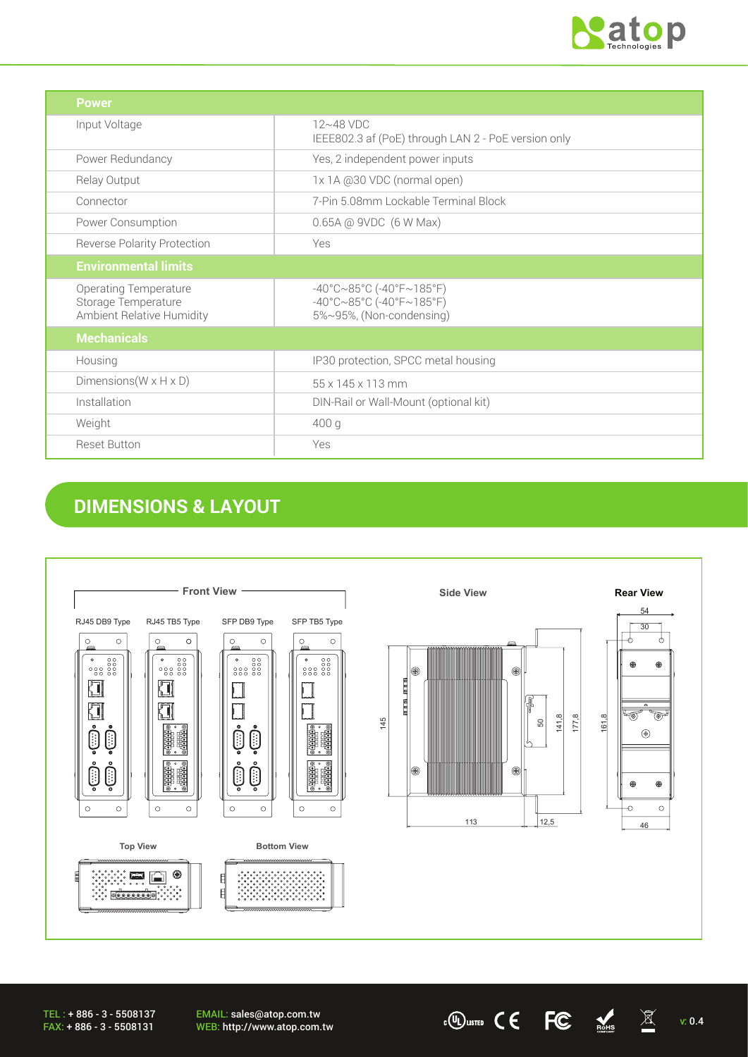

| <b>Power</b>                                                                            |                                                                                                                                  |
|-----------------------------------------------------------------------------------------|----------------------------------------------------------------------------------------------------------------------------------|
| Input Voltage                                                                           | 12~48 VDC<br>IEEE802.3 af (PoE) through LAN 2 - PoE version only                                                                 |
| Power Redundancy                                                                        | Yes, 2 independent power inputs                                                                                                  |
| Relay Output                                                                            | 1x 1A @30 VDC (normal open)                                                                                                      |
| Connector                                                                               | 7-Pin 5.08mm Lockable Terminal Block                                                                                             |
| Power Consumption                                                                       | 0.65A @ 9VDC (6 W Max)                                                                                                           |
| <b>Reverse Polarity Protection</b>                                                      | Yes                                                                                                                              |
| <b>Environmental limits</b>                                                             |                                                                                                                                  |
| <b>Operating Temperature</b><br>Storage Temperature<br><b>Ambient Relative Humidity</b> | $-40^{\circ}$ C $\sim$ 85°C (-40°F $\sim$ 185°F)<br>$-40^{\circ}$ C $\sim$ 85°C (-40°F $\sim$ 185°F)<br>5%~95%, (Non-condensing) |
| <b>Mechanicals</b>                                                                      |                                                                                                                                  |
| Housing                                                                                 | IP30 protection, SPCC metal housing                                                                                              |
| Dimensions ( $W \times H \times D$ )                                                    | 55 x 145 x 113 mm                                                                                                                |
| Installation                                                                            | DIN-Rail or Wall-Mount (optional kit)                                                                                            |
| Weight                                                                                  | 400 g                                                                                                                            |
| <b>Reset Button</b>                                                                     | Yes                                                                                                                              |

# **DIMENSIONS & LAYOUT**



EMAIL: sales@atop.com.tw EMAIL: sales@atop.com.tw  $\text{wEB: http://www.atop.com.tw}$  v: 0.4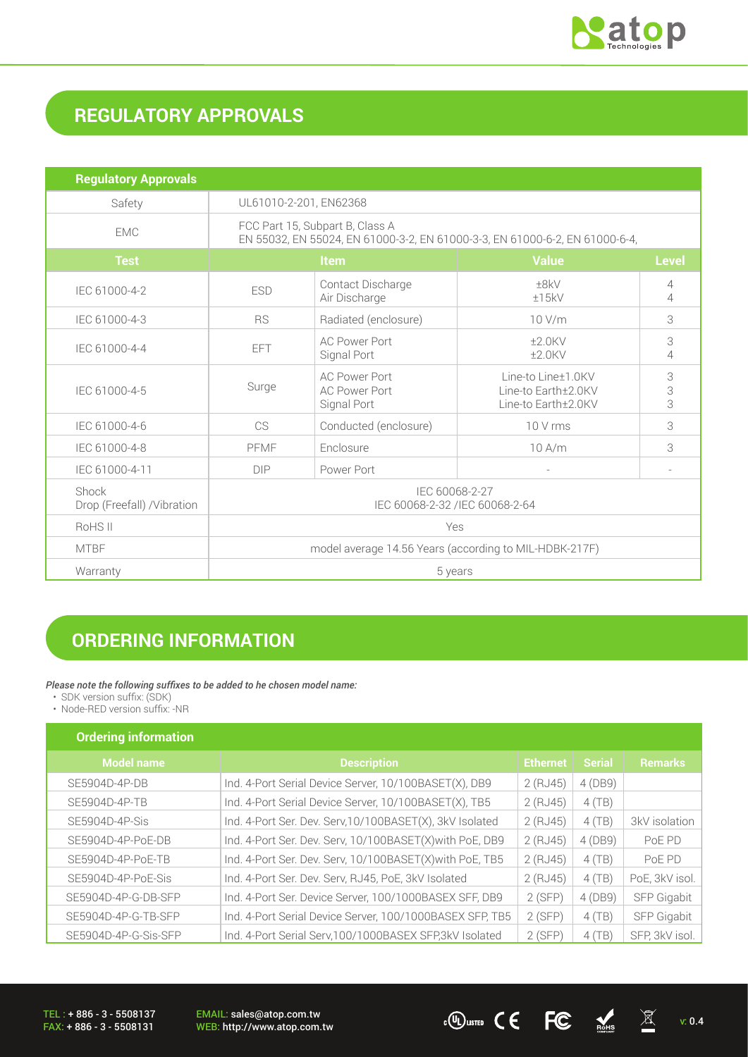

# **REGULATORY APPROVALS**

| <b>Regulatory Approvals</b>          |                                                                                                                |                                                             |                                                                  |                     |
|--------------------------------------|----------------------------------------------------------------------------------------------------------------|-------------------------------------------------------------|------------------------------------------------------------------|---------------------|
| Safety                               | UL61010-2-201, EN62368                                                                                         |                                                             |                                                                  |                     |
| <b>EMC</b>                           | FCC Part 15, Subpart B, Class A<br>EN 55032, EN 55024, EN 61000-3-2, EN 61000-3-3, EN 61000-6-2, EN 61000-6-4, |                                                             |                                                                  |                     |
| <b>Test</b>                          | <b>Value</b><br><b>Item</b><br><b>Level</b>                                                                    |                                                             |                                                                  |                     |
| IEC 61000-4-2                        | <b>ESD</b>                                                                                                     | Contact Discharge<br>Air Discharge                          | ±8kV<br>±15kV                                                    | 4<br>$\overline{4}$ |
| IEC 61000-4-3                        | <b>RS</b>                                                                                                      | Radiated (enclosure)                                        | 10 V/m                                                           | 3                   |
| IEC 61000-4-4                        | <b>EFT</b>                                                                                                     | <b>AC Power Port</b><br>Signal Port                         | $±2.0$ KV<br>$±2.0$ KV                                           | 3<br>4              |
| IEC 61000-4-5                        | Surge                                                                                                          | <b>AC Power Port</b><br><b>AC Power Port</b><br>Signal Port | Line-to Line±1.0KV<br>Line-to Earth±2.0KV<br>Line-to Earth±2.0KV | 3<br>3<br>3         |
| IEC 61000-4-6                        | CS                                                                                                             | Conducted (enclosure)                                       | 10 V rms                                                         | 3                   |
| IEC 61000-4-8                        | PFMF                                                                                                           | Enclosure                                                   | 10A/m                                                            | 3                   |
| IEC 61000-4-11                       | <b>DIP</b>                                                                                                     | Power Port                                                  |                                                                  |                     |
| Shock<br>Drop (Freefall) / Vibration | IEC 60068-2-27<br>IEC 60068-2-32 /IEC 60068-2-64                                                               |                                                             |                                                                  |                     |
| RoHS II                              | Yes                                                                                                            |                                                             |                                                                  |                     |
| <b>MTBF</b>                          | model average 14.56 Years (according to MIL-HDBK-217F)                                                         |                                                             |                                                                  |                     |
| Warranty                             | 5 years                                                                                                        |                                                             |                                                                  |                     |

# **ORDERING INFORMATION**

*Please note the following suffixes to be added to he chosen model name:* 

• SDK version suffix: (SDK)

• Node-RED version suffix: -NR

| Ordering information |
|----------------------|
|----------------------|

| Model name           | <b>Description</b>                                       | <b>Ethernet</b> | <b>Serial</b> | <b>Remarks</b> |
|----------------------|----------------------------------------------------------|-----------------|---------------|----------------|
| SE5904D-4P-DB        | Ind. 4-Port Serial Device Server, 10/100BASET(X), DB9    | 2 (RJ45)        | 4 (DB9)       |                |
| SE5904D-4P-TB        | Ind. 4-Port Serial Device Server, 10/100BASET(X), TB5    | 2 (RJ45)        | 4(TB)         |                |
| SE5904D-4P-Sis       | Ind. 4-Port Ser. Dev. Serv, 10/100BASET(X), 3kV Isolated | 2 (RJ45)        | 4(TB)         | 3kV isolation  |
| SE5904D-4P-PoE-DB    | Ind. 4-Port Ser. Dev. Serv, 10/100BASET(X) with PoE, DB9 | 2 (RJ45)        | 4 (DB9)       | PoE PD         |
| SE5904D-4P-PoE-TB    | Ind. 4-Port Ser. Dev. Serv, 10/100BASET(X) with PoE, TB5 | 2 (RJ45)        | 4(TB)         | PoE PD         |
| SE5904D-4P-PoE-Sis   | Ind. 4-Port Ser. Dev. Serv, RJ45, PoE, 3kV Isolated      | 2 (RJ45)        | 4(TB)         | PoE, 3kV isol. |
| SE5904D-4P-G-DB-SFP  | Ind. 4-Port Ser. Device Server, 100/1000BASEX SFF, DB9   | 2(SFP)          | 4 (DB9)       | SFP Gigabit    |
| SE5904D-4P-G-TB-SFP  | Ind. 4-Port Serial Device Server, 100/1000BASEX SFP, TB5 | 2(SFP)          | 4(TB)         | SFP Gigabit    |
| SE5904D-4P-G-Sis-SFP | Ind. 4-Port Serial Serv, 100/1000BASEX SFP, 3kV Isolated | 2(SFP)          | 4(TB)         | SFP, 3kV isol. |

TEL : + 886 - 3 - 5508137 FAX: + 886 - 3 - 5508131

EMAIL: sales@atop.com.tw<br>WEB: http://www.atop.com.tw